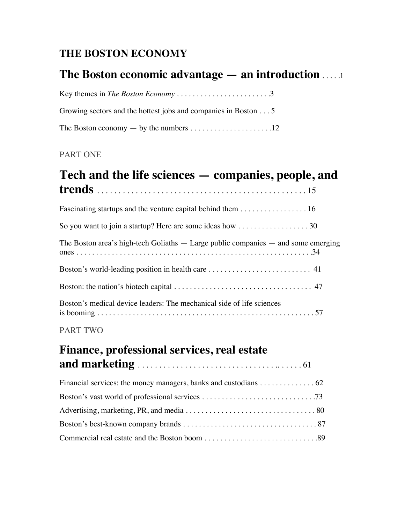## **THE BOSTON ECONOMY**

## **The Boston economic advantage — an introduction** . . . . .1

| Growing sectors and the hottest jobs and companies in Boston 5 |  |
|----------------------------------------------------------------|--|
|                                                                |  |

### PART ONE

## **Tech and the life sciences — companies, people, and trends** . . . . . . . . . . . . . . . . . . . . . . . . . . . . . . . . . . . . . . . . . . . . . . . . . 15

### PART TWO

# **Finance, professional services, real estate and marketing** . . . . . . . . . . . . . . . . . . . . . . . . . . . . . . . . .. . . . . . 61

| Financial services: the money managers, banks and custodians $\dots \dots \dots \dots \dots 62$ |  |
|-------------------------------------------------------------------------------------------------|--|
|                                                                                                 |  |
|                                                                                                 |  |
|                                                                                                 |  |
|                                                                                                 |  |